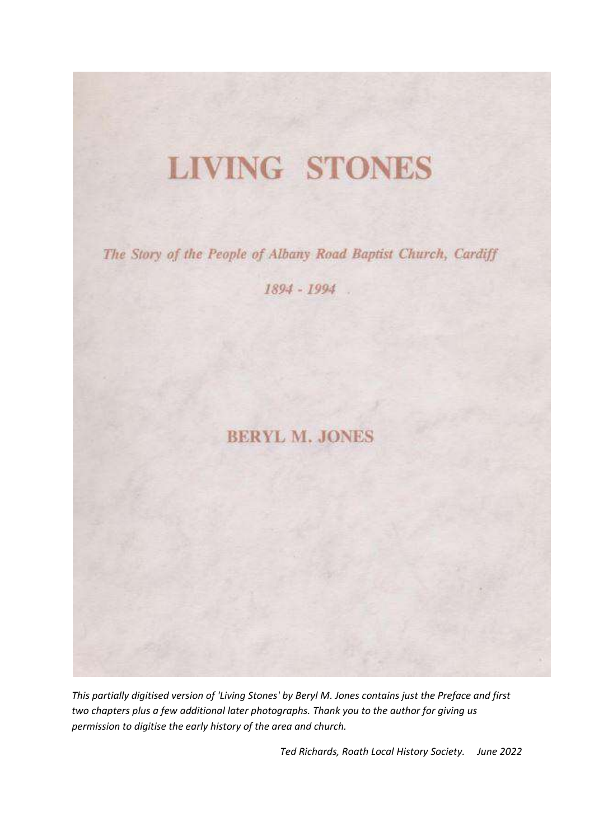## **LIVING STONES**

The Story of the People of Albany Road Baptist Church, Cardiff

 $1894 - 1994$ 

## **BERYL M. JONES**

*This partially digitised version of 'Living Stones' by Beryl M. Jones contains just the Preface and first two chapters plus a few additional later photographs. Thank you to the author for giving us permission to digitise the early history of the area and church.* 

*Ted Richards, Roath Local History Society. June 2022*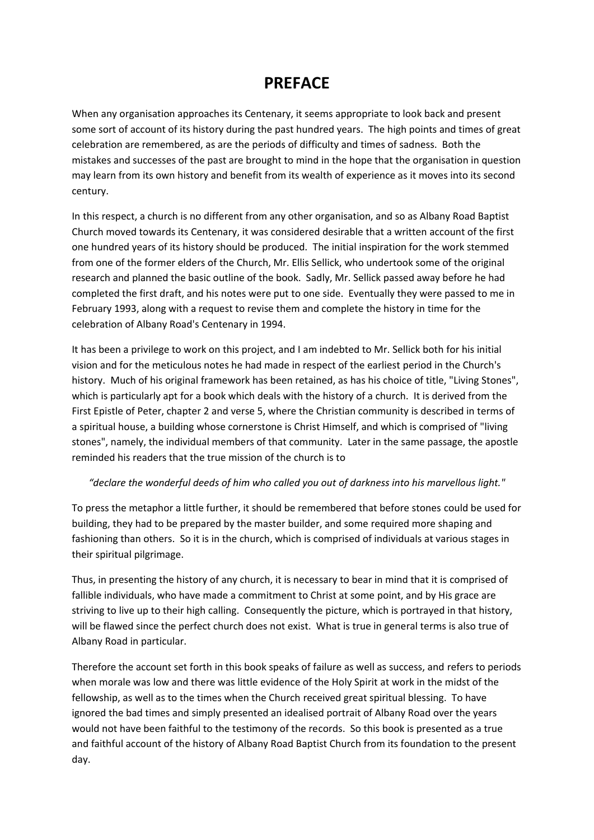## **PREFACE**

When any organisation approaches its Centenary, it seems appropriate to look back and present some sort of account of its history during the past hundred years. The high points and times of great celebration are remembered, as are the periods of difficulty and times of sadness. Both the mistakes and successes of the past are brought to mind in the hope that the organisation in question may learn from its own history and benefit from its wealth of experience as it moves into its second century.

In this respect, a church is no different from any other organisation, and so as Albany Road Baptist Church moved towards its Centenary, it was considered desirable that a written account of the first one hundred years of its history should be produced. The initial inspiration for the work stemmed from one of the former elders of the Church, Mr. Ellis Sellick, who undertook some of the original research and planned the basic outline of the book. Sadly, Mr. Sellick passed away before he had completed the first draft, and his notes were put to one side. Eventually they were passed to me in February 1993, along with a request to revise them and complete the history in time for the celebration of Albany Road's Centenary in 1994.

It has been a privilege to work on this project, and I am indebted to Mr. Sellick both for his initial vision and for the meticulous notes he had made in respect of the earliest period in the Church's history. Much of his original framework has been retained, as has his choice of title, "Living Stones", which is particularly apt for a book which deals with the history of a church. It is derived from the First Epistle of Peter, chapter 2 and verse 5, where the Christian community is described in terms of a spiritual house, a building whose cornerstone is Christ Himself, and which is comprised of "living stones", namely, the individual members of that community. Later in the same passage, the apostle reminded his readers that the true mission of the church is to

#### *"declare the wonderful deeds of him who called you out of darkness into his marvellous light."*

To press the metaphor a little further, it should be remembered that before stones could be used for building, they had to be prepared by the master builder, and some required more shaping and fashioning than others. So it is in the church, which is comprised of individuals at various stages in their spiritual pilgrimage.

Thus, in presenting the history of any church, it is necessary to bear in mind that it is comprised of fallible individuals, who have made a commitment to Christ at some point, and by His grace are striving to live up to their high calling. Consequently the picture, which is portrayed in that history, will be flawed since the perfect church does not exist. What is true in general terms is also true of Albany Road in particular.

Therefore the account set forth in this book speaks of failure as well as success, and refers to periods when morale was low and there was little evidence of the Holy Spirit at work in the midst of the fellowship, as well as to the times when the Church received great spiritual blessing. To have ignored the bad times and simply presented an idealised portrait of Albany Road over the years would not have been faithful to the testimony of the records. So this book is presented as a true and faithful account of the history of Albany Road Baptist Church from its foundation to the present day.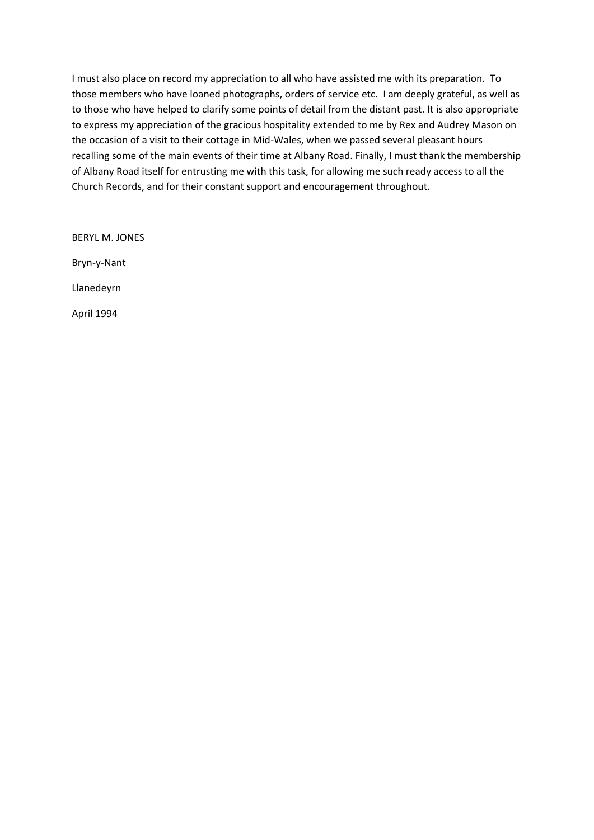I must also place on record my appreciation to all who have assisted me with its preparation. To those members who have loaned photographs, orders of service etc. I am deeply grateful, as well as to those who have helped to clarify some points of detail from the distant past. It is also appropriate to express my appreciation of the gracious hospitality extended to me by Rex and Audrey Mason on the occasion of a visit to their cottage in Mid-Wales, when we passed several pleasant hours recalling some of the main events of their time at Albany Road. Finally, I must thank the membership of Albany Road itself for entrusting me with this task, for allowing me such ready access to all the Church Records, and for their constant support and encouragement throughout.

BERYL M. JONES Bryn-y-Nant Llanedeyrn April 1994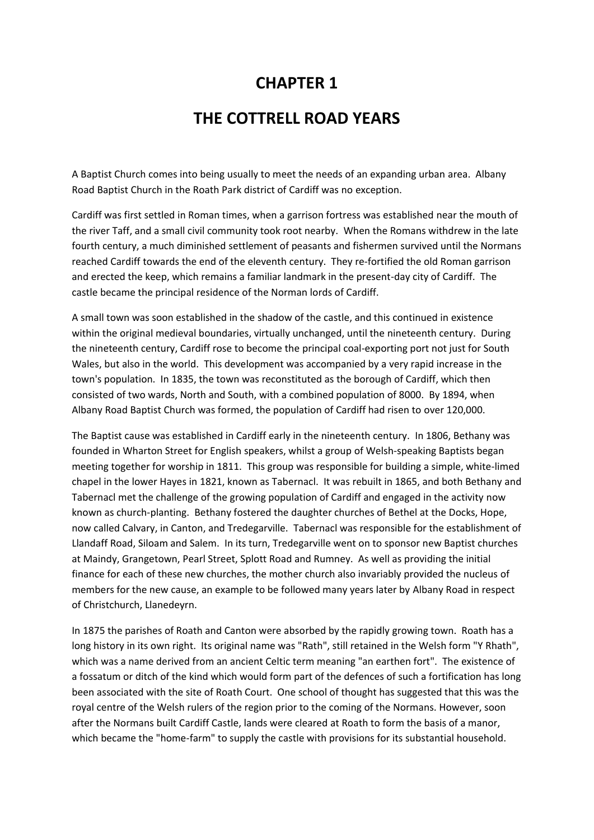## **CHAPTER 1**

## **THE COTTRELL ROAD YEARS**

A Baptist Church comes into being usually to meet the needs of an expanding urban area. Albany Road Baptist Church in the Roath Park district of Cardiff was no exception.

Cardiff was first settled in Roman times, when a garrison fortress was established near the mouth of the river Taff, and a small civil community took root nearby. When the Romans withdrew in the late fourth century, a much diminished settlement of peasants and fishermen survived until the Normans reached Cardiff towards the end of the eleventh century. They re-fortified the old Roman garrison and erected the keep, which remains a familiar landmark in the present-day city of Cardiff. The castle became the principal residence of the Norman lords of Cardiff.

A small town was soon established in the shadow of the castle, and this continued in existence within the original medieval boundaries, virtually unchanged, until the nineteenth century. During the nineteenth century, Cardiff rose to become the principal coal-exporting port not just for South Wales, but also in the world. This development was accompanied by a very rapid increase in the town's population. In 1835, the town was reconstituted as the borough of Cardiff, which then consisted of two wards, North and South, with a combined population of 8000. By 1894, when Albany Road Baptist Church was formed, the population of Cardiff had risen to over 120,000.

The Baptist cause was established in Cardiff early in the nineteenth century. In 1806, Bethany was founded in Wharton Street for English speakers, whilst a group of Welsh-speaking Baptists began meeting together for worship in 1811. This group was responsible for building a simple, white-limed chapel in the lower Hayes in 1821, known as Tabernacl. It was rebuilt in 1865, and both Bethany and Tabernacl met the challenge of the growing population of Cardiff and engaged in the activity now known as church-planting. Bethany fostered the daughter churches of Bethel at the Docks, Hope, now called Calvary, in Canton, and Tredegarville. Tabernacl was responsible for the establishment of Llandaff Road, Siloam and Salem. In its turn, Tredegarville went on to sponsor new Baptist churches at Maindy, Grangetown, Pearl Street, Splott Road and Rumney. As well as providing the initial finance for each of these new churches, the mother church also invariably provided the nucleus of members for the new cause, an example to be followed many years later by Albany Road in respect of Christchurch, Llanedeyrn.

In 1875 the parishes of Roath and Canton were absorbed by the rapidly growing town. Roath has a long history in its own right. Its original name was "Rath", still retained in the Welsh form "Y Rhath", which was a name derived from an ancient Celtic term meaning "an earthen fort". The existence of a fossatum or ditch of the kind which would form part of the defences of such a fortification has long been associated with the site of Roath Court. One school of thought has suggested that this was the royal centre of the Welsh rulers of the region prior to the coming of the Normans. However, soon after the Normans built Cardiff Castle, lands were cleared at Roath to form the basis of a manor, which became the "home-farm" to supply the castle with provisions for its substantial household.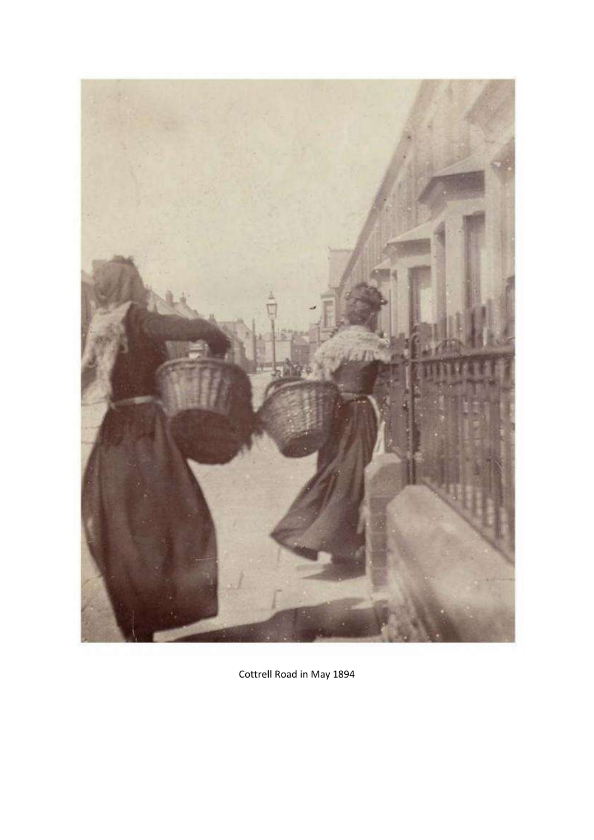

Cottrell Road in May 1894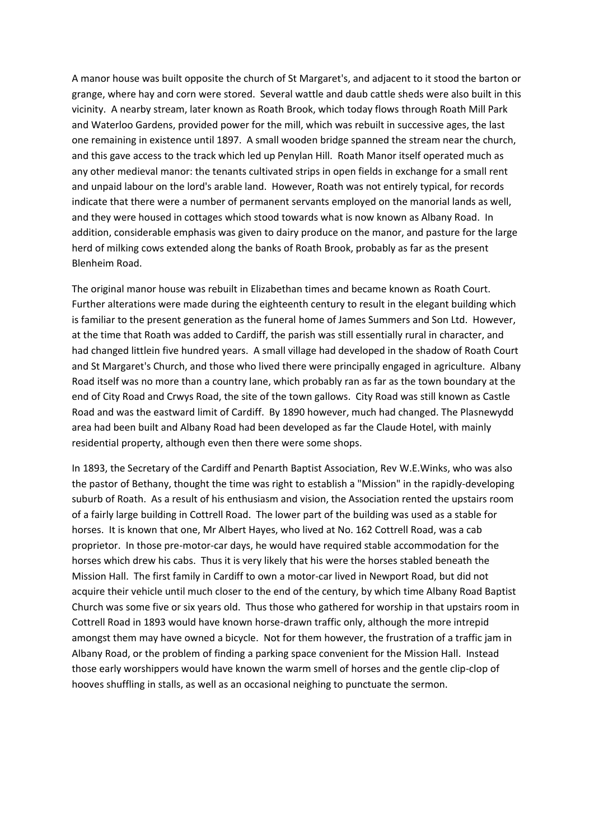A manor house was built opposite the church of St Margaret's, and adjacent to it stood the barton or grange, where hay and corn were stored. Several wattle and daub cattle sheds were also built in this vicinity. A nearby stream, later known as Roath Brook, which today flows through Roath Mill Park and Waterloo Gardens, provided power for the mill, which was rebuilt in successive ages, the last one remaining in existence until 1897. A small wooden bridge spanned the stream near the church, and this gave access to the track which led up Penylan Hill. Roath Manor itself operated much as any other medieval manor: the tenants cultivated strips in open fields in exchange for a small rent and unpaid labour on the lord's arable land. However, Roath was not entirely typical, for records indicate that there were a number of permanent servants employed on the manorial lands as well, and they were housed in cottages which stood towards what is now known as Albany Road. In addition, considerable emphasis was given to dairy produce on the manor, and pasture for the large herd of milking cows extended along the banks of Roath Brook, probably as far as the present Blenheim Road.

The original manor house was rebuilt in Elizabethan times and became known as Roath Court. Further alterations were made during the eighteenth century to result in the elegant building which is familiar to the present generation as the funeral home of James Summers and Son Ltd. However, at the time that Roath was added to Cardiff, the parish was still essentially rural in character, and had changed littlein five hundred years. A small village had developed in the shadow of Roath Court and St Margaret's Church, and those who lived there were principally engaged in agriculture. Albany Road itself was no more than a country lane, which probably ran as far as the town boundary at the end of City Road and Crwys Road, the site of the town gallows. City Road was still known as Castle Road and was the eastward limit of Cardiff. By 1890 however, much had changed. The Plasnewydd area had been built and Albany Road had been developed as far the Claude Hotel, with mainly residential property, although even then there were some shops.

In 1893, the Secretary of the Cardiff and Penarth Baptist Association, Rev W.E.Winks, who was also the pastor of Bethany, thought the time was right to establish a "Mission" in the rapidly-developing suburb of Roath. As a result of his enthusiasm and vision, the Association rented the upstairs room of a fairly large building in Cottrell Road. The lower part of the building was used as a stable for horses. It is known that one, Mr Albert Hayes, who lived at No. 162 Cottrell Road, was a cab proprietor. In those pre-motor-car days, he would have required stable accommodation for the horses which drew his cabs. Thus it is very likely that his were the horses stabled beneath the Mission Hall. The first family in Cardiff to own a motor-car lived in Newport Road, but did not acquire their vehicle until much closer to the end of the century, by which time Albany Road Baptist Church was some five or six years old. Thus those who gathered for worship in that upstairs room in Cottrell Road in 1893 would have known horse-drawn traffic only, although the more intrepid amongst them may have owned a bicycle. Not for them however, the frustration of a traffic jam in Albany Road, or the problem of finding a parking space convenient for the Mission Hall. Instead those early worshippers would have known the warm smell of horses and the gentle clip-clop of hooves shuffling in stalls, as well as an occasional neighing to punctuate the sermon.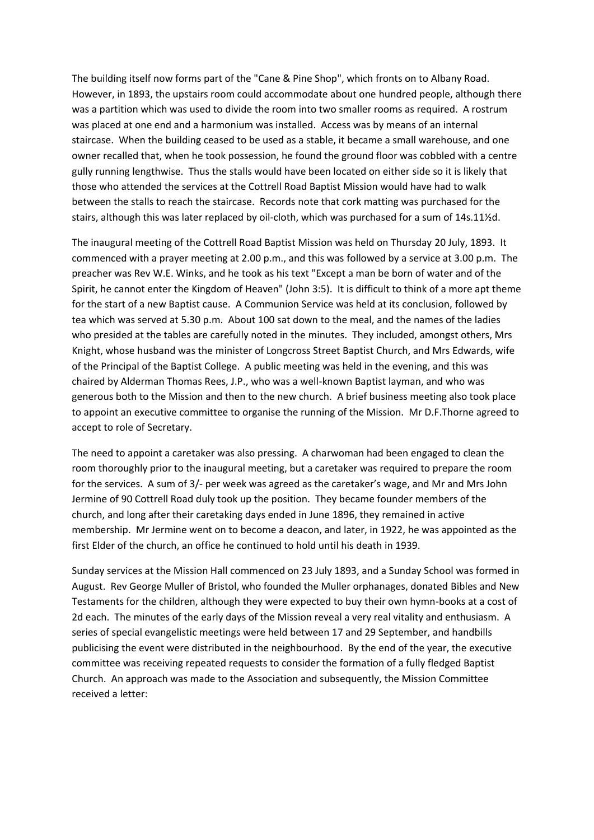The building itself now forms part of the "Cane & Pine Shop", which fronts on to Albany Road. However, in 1893, the upstairs room could accommodate about one hundred people, although there was a partition which was used to divide the room into two smaller rooms as required. A rostrum was placed at one end and a harmonium was installed. Access was by means of an internal staircase. When the building ceased to be used as a stable, it became a small warehouse, and one owner recalled that, when he took possession, he found the ground floor was cobbled with a centre gully running lengthwise. Thus the stalls would have been located on either side so it is likely that those who attended the services at the Cottrell Road Baptist Mission would have had to walk between the stalls to reach the staircase. Records note that cork matting was purchased for the stairs, although this was later replaced by oil-cloth, which was purchased for a sum of 14s.11½d.

The inaugural meeting of the Cottrell Road Baptist Mission was held on Thursday 20 July, 1893. It commenced with a prayer meeting at 2.00 p.m., and this was followed by a service at 3.00 p.m. The preacher was Rev W.E. Winks, and he took as his text "Except a man be born of water and of the Spirit, he cannot enter the Kingdom of Heaven" (John 3:5). It is difficult to think of a more apt theme for the start of a new Baptist cause. A Communion Service was held at its conclusion, followed by tea which was served at 5.30 p.m. About 100 sat down to the meal, and the names of the ladies who presided at the tables are carefully noted in the minutes. They included, amongst others, Mrs Knight, whose husband was the minister of Longcross Street Baptist Church, and Mrs Edwards, wife of the Principal of the Baptist College. A public meeting was held in the evening, and this was chaired by Alderman Thomas Rees, J.P., who was a well-known Baptist layman, and who was generous both to the Mission and then to the new church. A brief business meeting also took place to appoint an executive committee to organise the running of the Mission. Mr D.F.Thorne agreed to accept to role of Secretary.

The need to appoint a caretaker was also pressing. A charwoman had been engaged to clean the room thoroughly prior to the inaugural meeting, but a caretaker was required to prepare the room for the services. A sum of 3/- per week was agreed as the caretaker's wage, and Mr and Mrs John Jermine of 90 Cottrell Road duly took up the position. They became founder members of the church, and long after their caretaking days ended in June 1896, they remained in active membership. Mr Jermine went on to become a deacon, and later, in 1922, he was appointed as the first Elder of the church, an office he continued to hold until his death in 1939.

Sunday services at the Mission Hall commenced on 23 July 1893, and a Sunday School was formed in August. Rev George Muller of Bristol, who founded the Muller orphanages, donated Bibles and New Testaments for the children, although they were expected to buy their own hymn-books at a cost of 2d each. The minutes of the early days of the Mission reveal a very real vitality and enthusiasm. A series of special evangelistic meetings were held between 17 and 29 September, and handbills publicising the event were distributed in the neighbourhood. By the end of the year, the executive committee was receiving repeated requests to consider the formation of a fully fledged Baptist Church. An approach was made to the Association and subsequently, the Mission Committee received a letter: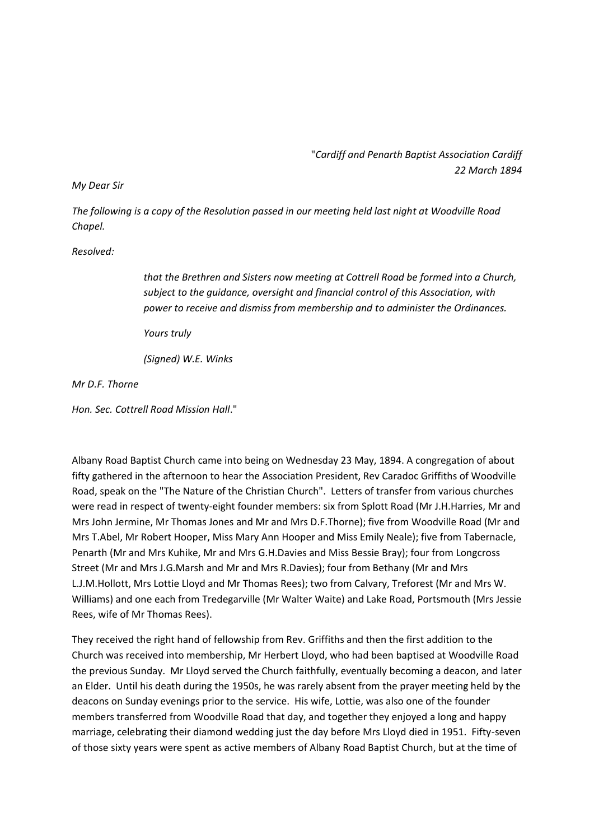"*Cardiff and Penarth Baptist Association Cardiff 22 March 1894*

#### *My Dear Sir*

*The following is a copy of the Resolution passed in our meeting held last night at Woodville Road Chapel.*

#### *Resolved:*

*that the Brethren and Sisters now meeting at Cottrell Road be formed into a Church, subject to the guidance, oversight and financial control of this Association, with power to receive and dismiss from membership and to administer the Ordinances.*

*Yours truly*

*(Signed) W.E. Winks*

*Mr D.F. Thorne*

*Hon. Sec. Cottrell Road Mission Hall*."

Albany Road Baptist Church came into being on Wednesday 23 May, 1894. A congregation of about fifty gathered in the afternoon to hear the Association President, Rev Caradoc Griffiths of Woodville Road, speak on the "The Nature of the Christian Church". Letters of transfer from various churches were read in respect of twenty-eight founder members: six from Splott Road (Mr J.H.Harries, Mr and Mrs John Jermine, Mr Thomas Jones and Mr and Mrs D.F.Thorne); five from Woodville Road (Mr and Mrs T.Abel, Mr Robert Hooper, Miss Mary Ann Hooper and Miss Emily Neale); five from Tabernacle, Penarth (Mr and Mrs Kuhike, Mr and Mrs G.H.Davies and Miss Bessie Bray); four from Longcross Street (Mr and Mrs J.G.Marsh and Mr and Mrs R.Davies); four from Bethany (Mr and Mrs L.J.M.Hollott, Mrs Lottie Lloyd and Mr Thomas Rees); two from Calvary, Treforest (Mr and Mrs W. Williams) and one each from Tredegarville (Mr Walter Waite) and Lake Road, Portsmouth (Mrs Jessie Rees, wife of Mr Thomas Rees).

They received the right hand of fellowship from Rev. Griffiths and then the first addition to the Church was received into membership, Mr Herbert Lloyd, who had been baptised at Woodville Road the previous Sunday. Mr Lloyd served the Church faithfully, eventually becoming a deacon, and later an Elder. Until his death during the 1950s, he was rarely absent from the prayer meeting held by the deacons on Sunday evenings prior to the service. His wife, Lottie, was also one of the founder members transferred from Woodville Road that day, and together they enjoyed a long and happy marriage, celebrating their diamond wedding just the day before Mrs Lloyd died in 1951. Fifty-seven of those sixty years were spent as active members of Albany Road Baptist Church, but at the time of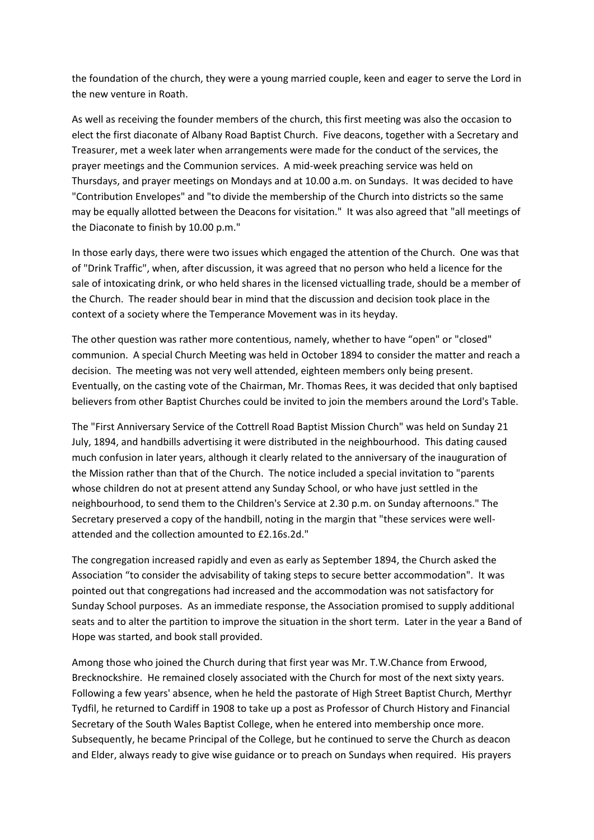the foundation of the church, they were a young married couple, keen and eager to serve the Lord in the new venture in Roath.

As well as receiving the founder members of the church, this first meeting was also the occasion to elect the first diaconate of Albany Road Baptist Church. Five deacons, together with a Secretary and Treasurer, met a week later when arrangements were made for the conduct of the services, the prayer meetings and the Communion services. A mid-week preaching service was held on Thursdays, and prayer meetings on Mondays and at 10.00 a.m. on Sundays. It was decided to have "Contribution Envelopes" and "to divide the membership of the Church into districts so the same may be equally allotted between the Deacons for visitation." It was also agreed that "all meetings of the Diaconate to finish by 10.00 p.m."

In those early days, there were two issues which engaged the attention of the Church. One was that of "Drink Traffic", when, after discussion, it was agreed that no person who held a licence for the sale of intoxicating drink, or who held shares in the licensed victualling trade, should be a member of the Church. The reader should bear in mind that the discussion and decision took place in the context of a society where the Temperance Movement was in its heyday.

The other question was rather more contentious, namely, whether to have "open" or "closed" communion. A special Church Meeting was held in October 1894 to consider the matter and reach a decision. The meeting was not very well attended, eighteen members only being present. Eventually, on the casting vote of the Chairman, Mr. Thomas Rees, it was decided that only baptised believers from other Baptist Churches could be invited to join the members around the Lord's Table.

The "First Anniversary Service of the Cottrell Road Baptist Mission Church" was held on Sunday 21 July, 1894, and handbills advertising it were distributed in the neighbourhood. This dating caused much confusion in later years, although it clearly related to the anniversary of the inauguration of the Mission rather than that of the Church. The notice included a special invitation to "parents whose children do not at present attend any Sunday School, or who have just settled in the neighbourhood, to send them to the Children's Service at 2.30 p.m. on Sunday afternoons." The Secretary preserved a copy of the handbill, noting in the margin that "these services were wellattended and the collection amounted to £2.16s.2d."

The congregation increased rapidly and even as early as September 1894, the Church asked the Association "to consider the advisability of taking steps to secure better accommodation". It was pointed out that congregations had increased and the accommodation was not satisfactory for Sunday School purposes. As an immediate response, the Association promised to supply additional seats and to alter the partition to improve the situation in the short term. Later in the year a Band of Hope was started, and book stall provided.

Among those who joined the Church during that first year was Mr. T.W.Chance from Erwood, Brecknockshire. He remained closely associated with the Church for most of the next sixty years. Following a few years' absence, when he held the pastorate of High Street Baptist Church, Merthyr Tydfil, he returned to Cardiff in 1908 to take up a post as Professor of Church History and Financial Secretary of the South Wales Baptist College, when he entered into membership once more. Subsequently, he became Principal of the College, but he continued to serve the Church as deacon and Elder, always ready to give wise guidance or to preach on Sundays when required. His prayers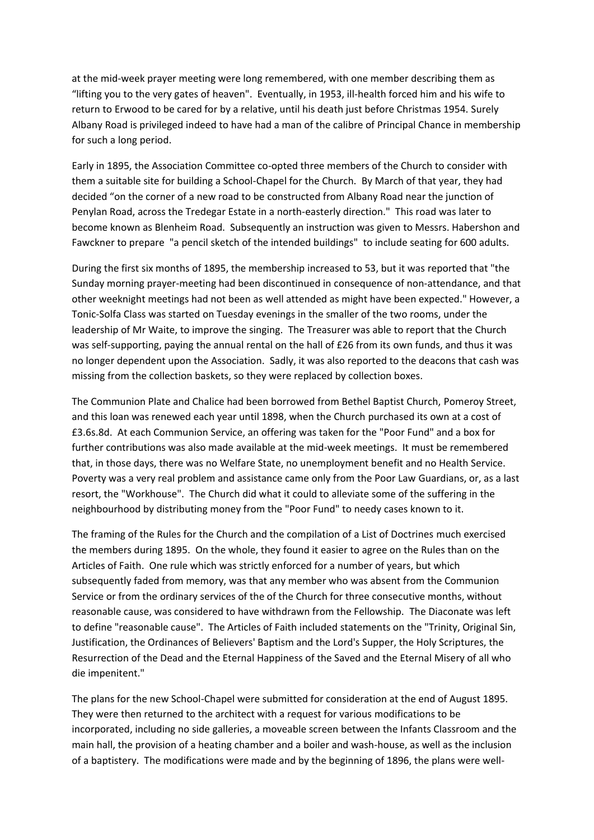at the mid-week prayer meeting were long remembered, with one member describing them as "lifting you to the very gates of heaven". Eventually, in 1953, ill-health forced him and his wife to return to Erwood to be cared for by a relative, until his death just before Christmas 1954. Surely Albany Road is privileged indeed to have had a man of the calibre of Principal Chance in membership for such a long period.

Early in 1895, the Association Committee co-opted three members of the Church to consider with them a suitable site for building a School-Chapel for the Church. By March of that year, they had decided "on the corner of a new road to be constructed from Albany Road near the junction of Penylan Road, across the Tredegar Estate in a north-easterly direction." This road was later to become known as Blenheim Road. Subsequently an instruction was given to Messrs. Habershon and Fawckner to prepare "a pencil sketch of the intended buildings" to include seating for 600 adults.

During the first six months of 1895, the membership increased to 53, but it was reported that "the Sunday morning prayer-meeting had been discontinued in consequence of non-attendance, and that other weeknight meetings had not been as well attended as might have been expected." However, a Tonic-Solfa Class was started on Tuesday evenings in the smaller of the two rooms, under the leadership of Mr Waite, to improve the singing. The Treasurer was able to report that the Church was self-supporting, paying the annual rental on the hall of £26 from its own funds, and thus it was no longer dependent upon the Association. Sadly, it was also reported to the deacons that cash was missing from the collection baskets, so they were replaced by collection boxes.

The Communion Plate and Chalice had been borrowed from Bethel Baptist Church, Pomeroy Street, and this loan was renewed each year until 1898, when the Church purchased its own at a cost of £3.6s.8d. At each Communion Service, an offering was taken for the "Poor Fund" and a box for further contributions was also made available at the mid-week meetings. It must be remembered that, in those days, there was no Welfare State, no unemployment benefit and no Health Service. Poverty was a very real problem and assistance came only from the Poor Law Guardians, or, as a last resort, the "Workhouse". The Church did what it could to alleviate some of the suffering in the neighbourhood by distributing money from the "Poor Fund" to needy cases known to it.

The framing of the Rules for the Church and the compilation of a List of Doctrines much exercised the members during 1895. On the whole, they found it easier to agree on the Rules than on the Articles of Faith. One rule which was strictly enforced for a number of years, but which subsequently faded from memory, was that any member who was absent from the Communion Service or from the ordinary services of the of the Church for three consecutive months, without reasonable cause, was considered to have withdrawn from the Fellowship. The Diaconate was left to define "reasonable cause". The Articles of Faith included statements on the "Trinity, Original Sin, Justification, the Ordinances of Believers' Baptism and the Lord's Supper, the Holy Scriptures, the Resurrection of the Dead and the Eternal Happiness of the Saved and the Eternal Misery of all who die impenitent."

The plans for the new School-Chapel were submitted for consideration at the end of August 1895. They were then returned to the architect with a request for various modifications to be incorporated, including no side galleries, a moveable screen between the Infants Classroom and the main hall, the provision of a heating chamber and a boiler and wash-house, as well as the inclusion of a baptistery. The modifications were made and by the beginning of 1896, the plans were well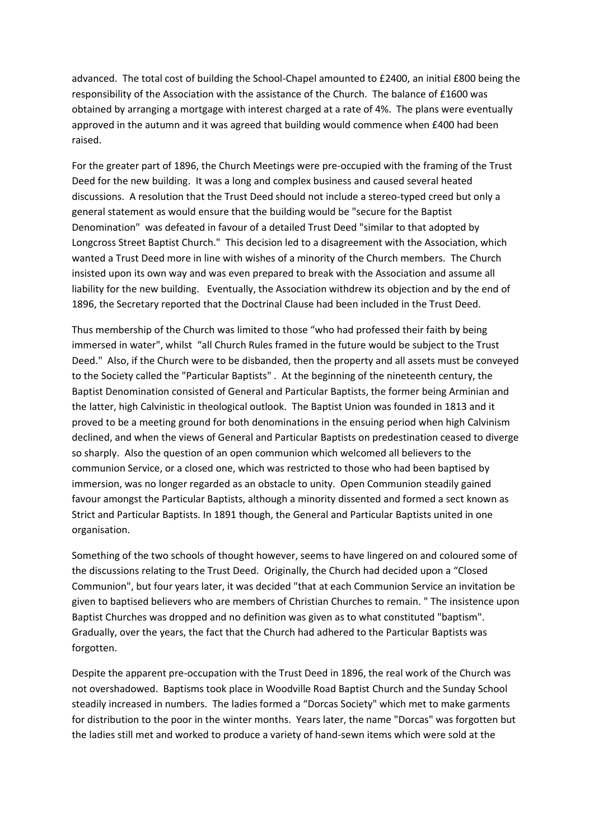advanced. The total cost of building the School-Chapel amounted to £2400, an initial £800 being the responsibility of the Association with the assistance of the Church. The balance of £1600 was obtained by arranging a mortgage with interest charged at a rate of 4%. The plans were eventually approved in the autumn and it was agreed that building would commence when £400 had been raised.

For the greater part of 1896, the Church Meetings were pre-occupied with the framing of the Trust Deed for the new building. It was a long and complex business and caused several heated discussions. A resolution that the Trust Deed should not include a stereo-typed creed but only a general statement as would ensure that the building would be "secure for the Baptist Denomination" was defeated in favour of a detailed Trust Deed "similar to that adopted by Longcross Street Baptist Church." This decision led to a disagreement with the Association, which wanted a Trust Deed more in line with wishes of a minority of the Church members. The Church insisted upon its own way and was even prepared to break with the Association and assume all liability for the new building. Eventually, the Association withdrew its objection and by the end of 1896, the Secretary reported that the Doctrinal Clause had been included in the Trust Deed.

Thus membership of the Church was limited to those "who had professed their faith by being immersed in water", whilst "all Church Rules framed in the future would be subject to the Trust Deed." Also, if the Church were to be disbanded, then the property and all assets must be conveyed to the Society called the "Particular Baptists" . At the beginning of the nineteenth century, the Baptist Denomination consisted of General and Particular Baptists, the former being Arminian and the latter, high Calvinistic in theological outlook. The Baptist Union was founded in 1813 and it proved to be a meeting ground for both denominations in the ensuing period when high Calvinism declined, and when the views of General and Particular Baptists on predestination ceased to diverge so sharply. Also the question of an open communion which welcomed all believers to the communion Service, or a closed one, which was restricted to those who had been baptised by immersion, was no longer regarded as an obstacle to unity. Open Communion steadily gained favour amongst the Particular Baptists, although a minority dissented and formed a sect known as Strict and Particular Baptists. In 1891 though, the General and Particular Baptists united in one organisation.

Something of the two schools of thought however, seems to have lingered on and coloured some of the discussions relating to the Trust Deed. Originally, the Church had decided upon a "Closed Communion", but four years later, it was decided "that at each Communion Service an invitation be given to baptised believers who are members of Christian Churches to remain. " The insistence upon Baptist Churches was dropped and no definition was given as to what constituted "baptism". Gradually, over the years, the fact that the Church had adhered to the Particular Baptists was forgotten.

Despite the apparent pre-occupation with the Trust Deed in 1896, the real work of the Church was not overshadowed. Baptisms took place in Woodville Road Baptist Church and the Sunday School steadily increased in numbers. The ladies formed a "Dorcas Society" which met to make garments for distribution to the poor in the winter months. Years later, the name "Dorcas" was forgotten but the ladies still met and worked to produce a variety of hand-sewn items which were sold at the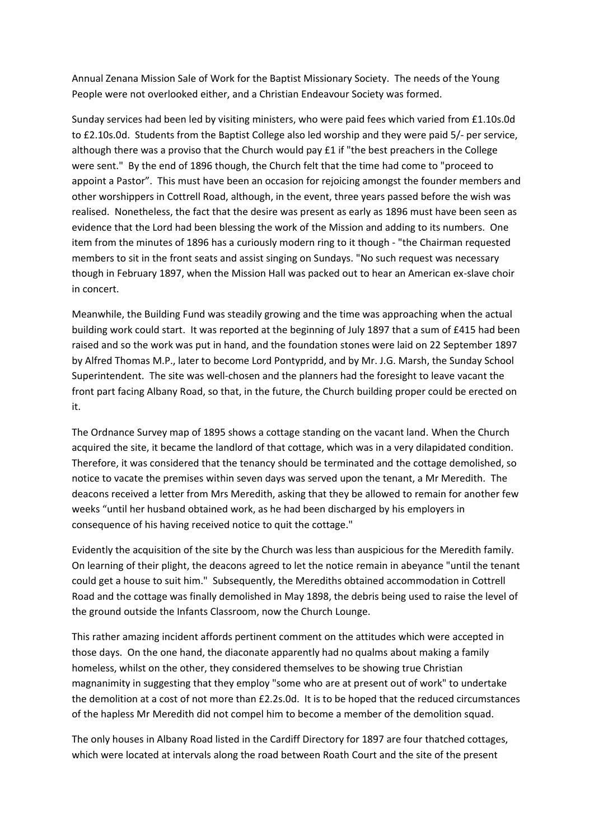Annual Zenana Mission Sale of Work for the Baptist Missionary Society. The needs of the Young People were not overlooked either, and a Christian Endeavour Society was formed.

Sunday services had been led by visiting ministers, who were paid fees which varied from £1.10s.0d to £2.10s.0d. Students from the Baptist College also led worship and they were paid 5/- per service, although there was a proviso that the Church would pay  $E1$  if "the best preachers in the College were sent." By the end of 1896 though, the Church felt that the time had come to "proceed to appoint a Pastor". This must have been an occasion for rejoicing amongst the founder members and other worshippers in Cottrell Road, although, in the event, three years passed before the wish was realised. Nonetheless, the fact that the desire was present as early as 1896 must have been seen as evidence that the Lord had been blessing the work of the Mission and adding to its numbers. One item from the minutes of 1896 has a curiously modern ring to it though - "the Chairman requested members to sit in the front seats and assist singing on Sundays. "No such request was necessary though in February 1897, when the Mission Hall was packed out to hear an American ex-slave choir in concert.

Meanwhile, the Building Fund was steadily growing and the time was approaching when the actual building work could start. It was reported at the beginning of July 1897 that a sum of £415 had been raised and so the work was put in hand, and the foundation stones were laid on 22 September 1897 by Alfred Thomas M.P., later to become Lord Pontypridd, and by Mr. J.G. Marsh, the Sunday School Superintendent. The site was well-chosen and the planners had the foresight to leave vacant the front part facing Albany Road, so that, in the future, the Church building proper could be erected on it.

The Ordnance Survey map of 1895 shows a cottage standing on the vacant land. When the Church acquired the site, it became the landlord of that cottage, which was in a very dilapidated condition. Therefore, it was considered that the tenancy should be terminated and the cottage demolished, so notice to vacate the premises within seven days was served upon the tenant, a Mr Meredith. The deacons received a letter from Mrs Meredith, asking that they be allowed to remain for another few weeks "until her husband obtained work, as he had been discharged by his employers in consequence of his having received notice to quit the cottage."

Evidently the acquisition of the site by the Church was less than auspicious for the Meredith family. On learning of their plight, the deacons agreed to let the notice remain in abeyance "until the tenant could get a house to suit him." Subsequently, the Merediths obtained accommodation in Cottrell Road and the cottage was finally demolished in May 1898, the debris being used to raise the level of the ground outside the Infants Classroom, now the Church Lounge.

This rather amazing incident affords pertinent comment on the attitudes which were accepted in those days. On the one hand, the diaconate apparently had no qualms about making a family homeless, whilst on the other, they considered themselves to be showing true Christian magnanimity in suggesting that they employ "some who are at present out of work" to undertake the demolition at a cost of not more than £2.2s.0d. It is to be hoped that the reduced circumstances of the hapless Mr Meredith did not compel him to become a member of the demolition squad.

The only houses in Albany Road listed in the Cardiff Directory for 1897 are four thatched cottages, which were located at intervals along the road between Roath Court and the site of the present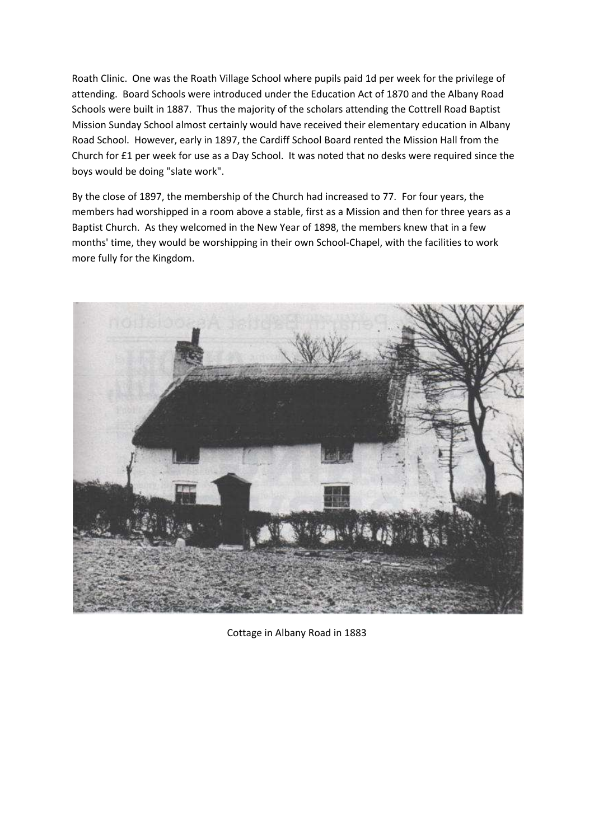Roath Clinic. One was the Roath Village School where pupils paid 1d per week for the privilege of attending. Board Schools were introduced under the Education Act of 1870 and the Albany Road Schools were built in 1887. Thus the majority of the scholars attending the Cottrell Road Baptist Mission Sunday School almost certainly would have received their elementary education in Albany Road School. However, early in 1897, the Cardiff School Board rented the Mission Hall from the Church for £1 per week for use as a Day School. It was noted that no desks were required since the boys would be doing "slate work".

By the close of 1897, the membership of the Church had increased to 77. For four years, the members had worshipped in a room above a stable, first as a Mission and then for three years as a Baptist Church. As they welcomed in the New Year of 1898, the members knew that in a few months' time, they would be worshipping in their own School-Chapel, with the facilities to work more fully for the Kingdom.



Cottage in Albany Road in 1883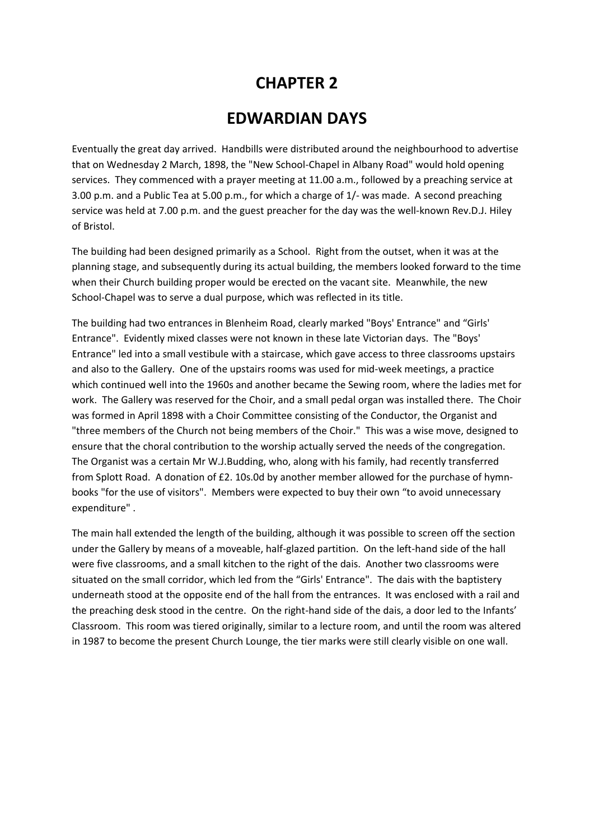## **CHAPTER 2**

### **EDWARDIAN DAYS**

Eventually the great day arrived. Handbills were distributed around the neighbourhood to advertise that on Wednesday 2 March, 1898, the "New School-Chapel in Albany Road" would hold opening services. They commenced with a prayer meeting at 11.00 a.m., followed by a preaching service at 3.00 p.m. and a Public Tea at 5.00 p.m., for which a charge of 1/- was made. A second preaching service was held at 7.00 p.m. and the guest preacher for the day was the well-known Rev.D.J. Hiley of Bristol.

The building had been designed primarily as a School. Right from the outset, when it was at the planning stage, and subsequently during its actual building, the members looked forward to the time when their Church building proper would be erected on the vacant site. Meanwhile, the new School-Chapel was to serve a dual purpose, which was reflected in its title.

The building had two entrances in Blenheim Road, clearly marked "Boys' Entrance" and "Girls' Entrance". Evidently mixed classes were not known in these late Victorian days. The "Boys' Entrance" led into a small vestibule with a staircase, which gave access to three classrooms upstairs and also to the Gallery. One of the upstairs rooms was used for mid-week meetings, a practice which continued well into the 1960s and another became the Sewing room, where the ladies met for work. The Gallery was reserved for the Choir, and a small pedal organ was installed there. The Choir was formed in April 1898 with a Choir Committee consisting of the Conductor, the Organist and "three members of the Church not being members of the Choir." This was a wise move, designed to ensure that the choral contribution to the worship actually served the needs of the congregation. The Organist was a certain Mr W.J.Budding, who, along with his family, had recently transferred from Splott Road. A donation of £2. 10s.0d by another member allowed for the purchase of hymnbooks "for the use of visitors". Members were expected to buy their own "to avoid unnecessary expenditure" .

The main hall extended the length of the building, although it was possible to screen off the section under the Gallery by means of a moveable, half-glazed partition. On the left-hand side of the hall were five classrooms, and a small kitchen to the right of the dais. Another two classrooms were situated on the small corridor, which led from the "Girls' Entrance". The dais with the baptistery underneath stood at the opposite end of the hall from the entrances. It was enclosed with a rail and the preaching desk stood in the centre. On the right-hand side of the dais, a door led to the Infants' Classroom. This room was tiered originally, similar to a lecture room, and until the room was altered in 1987 to become the present Church Lounge, the tier marks were still clearly visible on one wall.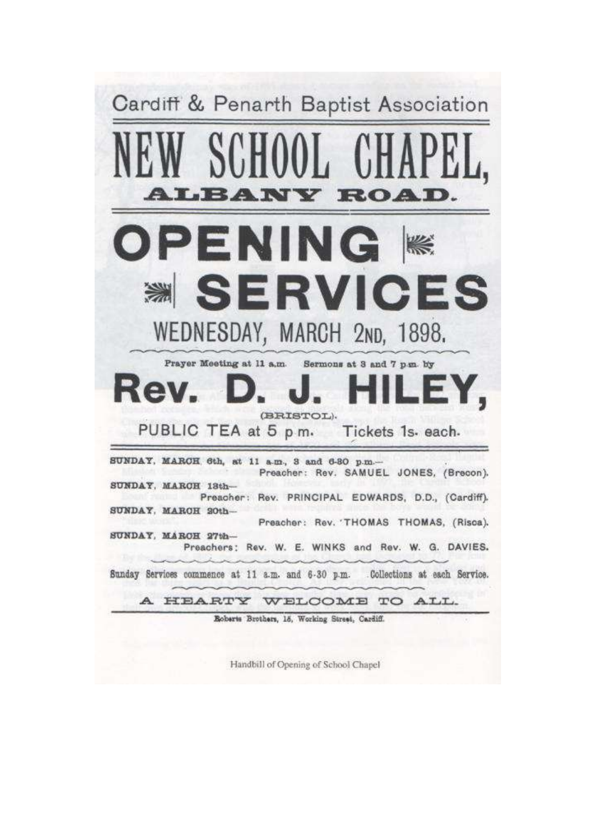

Handbill of Opening of School Chapel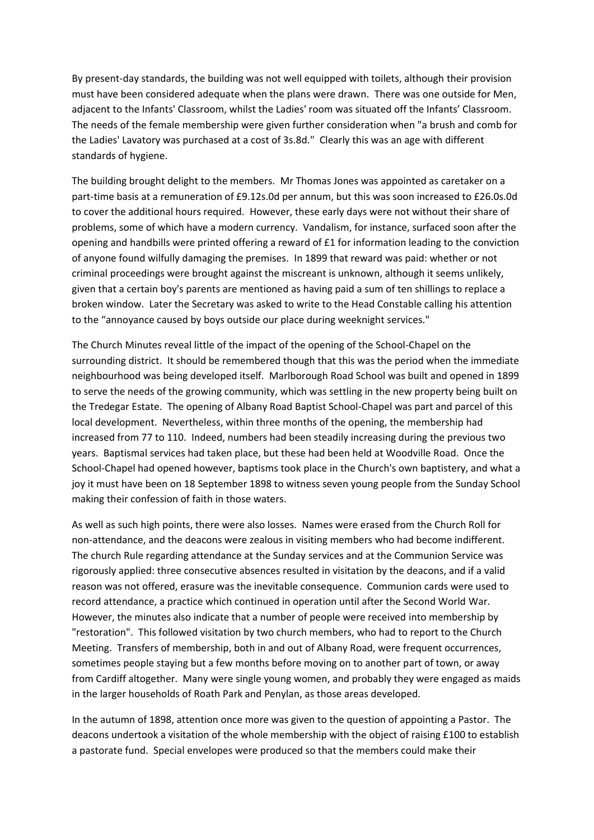By present-day standards, the building was not well equipped with toilets, although their provision must have been considered adequate when the plans were drawn. There was one outside for Men, adjacent to the Infants' Classroom, whilst the Ladies' room was situated off the Infants' Classroom. The needs of the female membership were given further consideration when "a brush and comb for the Ladies' Lavatory was purchased at a cost of 3s.8d." Clearly this was an age with different standards of hygiene.

The building brought delight to the members. Mr Thomas Jones was appointed as caretaker on a part-time basis at a remuneration of £9.12s.0d per annum, but this was soon increased to £26.0s.0d to cover the additional hours required. However, these early days were not without their share of problems, some of which have a modern currency. Vandalism, for instance, surfaced soon after the opening and handbills were printed offering a reward of £1 for information leading to the conviction of anyone found wilfully damaging the premises. In 1899 that reward was paid: whether or not criminal proceedings were brought against the miscreant is unknown, although it seems unlikely, given that a certain boy's parents are mentioned as having paid a sum of ten shillings to replace a broken window. Later the Secretary was asked to write to the Head Constable calling his attention to the "annoyance caused by boys outside our place during weeknight services."

The Church Minutes reveal little of the impact of the opening of the School-Chapel on the surrounding district. It should be remembered though that this was the period when the immediate neighbourhood was being developed itself. Marlborough Road School was built and opened in 1899 to serve the needs of the growing community, which was settling in the new property being built on the Tredegar Estate. The opening of Albany Road Baptist School-Chapel was part and parcel of this local development. Nevertheless, within three months of the opening, the membership had increased from 77 to 110. Indeed, numbers had been steadily increasing during the previous two years. Baptismal services had taken place, but these had been held at Woodville Road. Once the School-Chapel had opened however, baptisms took place in the Church's own baptistery, and what a joy it must have been on 18 September 1898 to witness seven young people from the Sunday School making their confession of faith in those waters.

As well as such high points, there were also losses. Names were erased from the Church Roll for non-attendance, and the deacons were zealous in visiting members who had become indifferent. The church Rule regarding attendance at the Sunday services and at the Communion Service was rigorously applied: three consecutive absences resulted in visitation by the deacons, and if a valid reason was not offered, erasure was the inevitable consequence. Communion cards were used to record attendance, a practice which continued in operation until after the Second World War. However, the minutes also indicate that a number of people were received into membership by "restoration". This followed visitation by two church members, who had to report to the Church Meeting. Transfers of membership, both in and out of Albany Road, were frequent occurrences, sometimes people staying but a few months before moving on to another part of town, or away from Cardiff altogether. Many were single young women, and probably they were engaged as maids in the larger households of Roath Park and Penylan, as those areas developed.

In the autumn of 1898, attention once more was given to the question of appointing a Pastor. The deacons undertook a visitation of the whole membership with the object of raising £100 to establish a pastorate fund. Special envelopes were produced so that the members could make their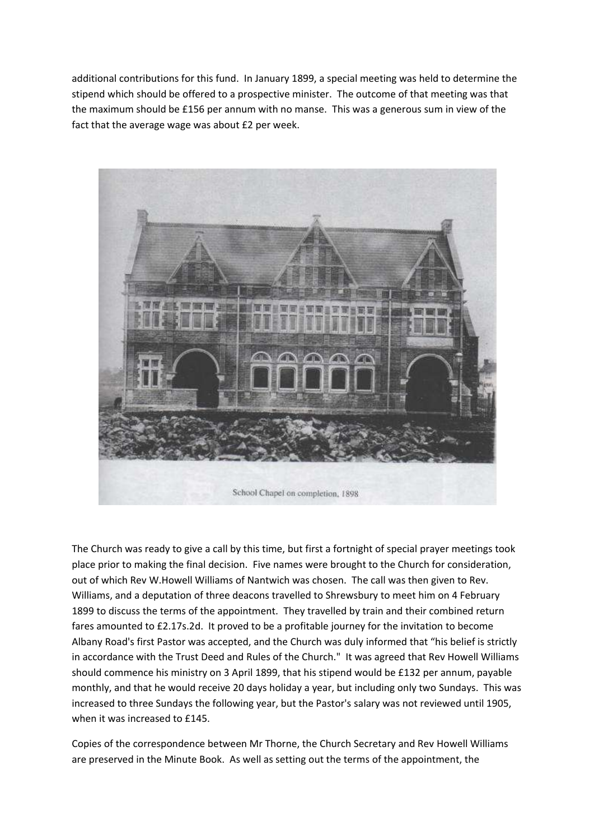additional contributions for this fund. In January 1899, a special meeting was held to determine the stipend which should be offered to a prospective minister. The outcome of that meeting was that the maximum should be £156 per annum with no manse. This was a generous sum in view of the fact that the average wage was about £2 per week.



The Church was ready to give a call by this time, but first a fortnight of special prayer meetings took place prior to making the final decision. Five names were brought to the Church for consideration, out of which Rev W.Howell Williams of Nantwich was chosen. The call was then given to Rev. Williams, and a deputation of three deacons travelled to Shrewsbury to meet him on 4 February 1899 to discuss the terms of the appointment. They travelled by train and their combined return fares amounted to £2.17s.2d. It proved to be a profitable journey for the invitation to become Albany Road's first Pastor was accepted, and the Church was duly informed that "his belief is strictly in accordance with the Trust Deed and Rules of the Church." It was agreed that Rev Howell Williams should commence his ministry on 3 April 1899, that his stipend would be £132 per annum, payable monthly, and that he would receive 20 days holiday a year, but including only two Sundays. This was increased to three Sundays the following year, but the Pastor's salary was not reviewed until 1905, when it was increased to £145.

Copies of the correspondence between Mr Thorne, the Church Secretary and Rev Howell Williams are preserved in the Minute Book. As well as setting out the terms of the appointment, the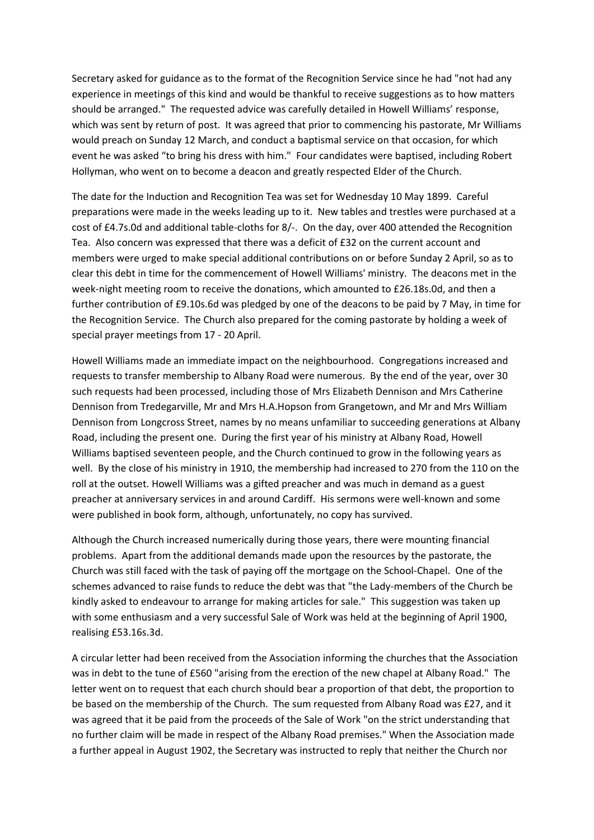Secretary asked for guidance as to the format of the Recognition Service since he had "not had any experience in meetings of this kind and would be thankful to receive suggestions as to how matters should be arranged." The requested advice was carefully detailed in Howell Williams' response, which was sent by return of post. It was agreed that prior to commencing his pastorate, Mr Williams would preach on Sunday 12 March, and conduct a baptismal service on that occasion, for which event he was asked "to bring his dress with him." Four candidates were baptised, including Robert Hollyman, who went on to become a deacon and greatly respected Elder of the Church.

The date for the Induction and Recognition Tea was set for Wednesday 10 May 1899. Careful preparations were made in the weeks leading up to it. New tables and trestles were purchased at a cost of £4.7s.0d and additional table-cloths for 8/-. On the day, over 400 attended the Recognition Tea. Also concern was expressed that there was a deficit of £32 on the current account and members were urged to make special additional contributions on or before Sunday 2 April, so as to clear this debt in time for the commencement of Howell Williams' ministry. The deacons met in the week-night meeting room to receive the donations, which amounted to £26.18s.0d, and then a further contribution of £9.10s.6d was pledged by one of the deacons to be paid by 7 May, in time for the Recognition Service. The Church also prepared for the coming pastorate by holding a week of special prayer meetings from 17 - 20 April.

Howell Williams made an immediate impact on the neighbourhood. Congregations increased and requests to transfer membership to Albany Road were numerous. By the end of the year, over 30 such requests had been processed, including those of Mrs Elizabeth Dennison and Mrs Catherine Dennison from Tredegarville, Mr and Mrs H.A.Hopson from Grangetown, and Mr and Mrs William Dennison from Longcross Street, names by no means unfamiliar to succeeding generations at Albany Road, including the present one. During the first year of his ministry at Albany Road, Howell Williams baptised seventeen people, and the Church continued to grow in the following years as well. By the close of his ministry in 1910, the membership had increased to 270 from the 110 on the roll at the outset. Howell Williams was a gifted preacher and was much in demand as a guest preacher at anniversary services in and around Cardiff. His sermons were well-known and some were published in book form, although, unfortunately, no copy has survived.

Although the Church increased numerically during those years, there were mounting financial problems. Apart from the additional demands made upon the resources by the pastorate, the Church was still faced with the task of paying off the mortgage on the School-Chapel. One of the schemes advanced to raise funds to reduce the debt was that "the Lady-members of the Church be kindly asked to endeavour to arrange for making articles for sale." This suggestion was taken up with some enthusiasm and a very successful Sale of Work was held at the beginning of April 1900, realising £53.16s.3d.

A circular letter had been received from the Association informing the churches that the Association was in debt to the tune of £560 "arising from the erection of the new chapel at Albany Road." The letter went on to request that each church should bear a proportion of that debt, the proportion to be based on the membership of the Church. The sum requested from Albany Road was £27, and it was agreed that it be paid from the proceeds of the Sale of Work "on the strict understanding that no further claim will be made in respect of the Albany Road premises." When the Association made a further appeal in August 1902, the Secretary was instructed to reply that neither the Church nor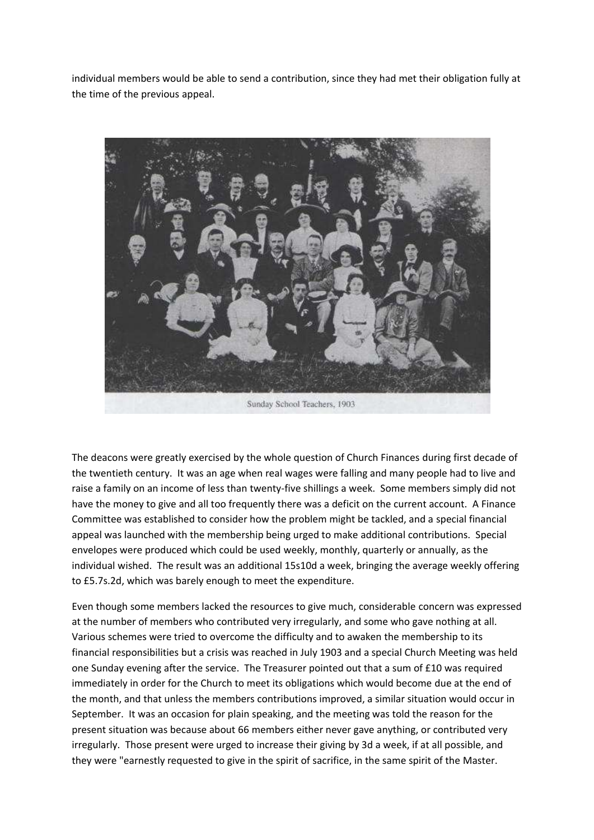individual members would be able to send a contribution, since they had met their obligation fully at the time of the previous appeal.



The deacons were greatly exercised by the whole question of Church Finances during first decade of the twentieth century. It was an age when real wages were falling and many people had to live and raise a family on an income of less than twenty-five shillings a week. Some members simply did not have the money to give and all too frequently there was a deficit on the current account. A Finance Committee was established to consider how the problem might be tackled, and a special financial appeal was launched with the membership being urged to make additional contributions. Special envelopes were produced which could be used weekly, monthly, quarterly or annually, as the individual wished. The result was an additional 15s10d a week, bringing the average weekly offering to £5.7s.2d, which was barely enough to meet the expenditure.

Even though some members lacked the resources to give much, considerable concern was expressed at the number of members who contributed very irregularly, and some who gave nothing at all. Various schemes were tried to overcome the difficulty and to awaken the membership to its financial responsibilities but a crisis was reached in July 1903 and a special Church Meeting was held one Sunday evening after the service. The Treasurer pointed out that a sum of £10 was required immediately in order for the Church to meet its obligations which would become due at the end of the month, and that unless the members contributions improved, a similar situation would occur in September. It was an occasion for plain speaking, and the meeting was told the reason for the present situation was because about 66 members either never gave anything, or contributed very irregularly. Those present were urged to increase their giving by 3d a week, if at all possible, and they were "earnestly requested to give in the spirit of sacrifice, in the same spirit of the Master.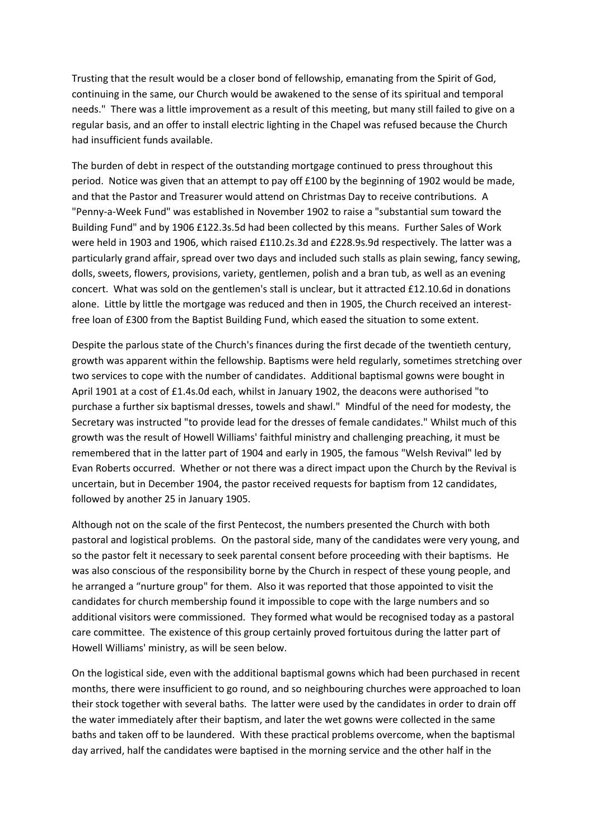Trusting that the result would be a closer bond of fellowship, emanating from the Spirit of God, continuing in the same, our Church would be awakened to the sense of its spiritual and temporal needs." There was a little improvement as a result of this meeting, but many still failed to give on a regular basis, and an offer to install electric lighting in the Chapel was refused because the Church had insufficient funds available.

The burden of debt in respect of the outstanding mortgage continued to press throughout this period. Notice was given that an attempt to pay off £100 by the beginning of 1902 would be made, and that the Pastor and Treasurer would attend on Christmas Day to receive contributions. A "Penny-a-Week Fund" was established in November 1902 to raise a "substantial sum toward the Building Fund" and by 1906 £122.3s.5d had been collected by this means. Further Sales of Work were held in 1903 and 1906, which raised £110.2s.3d and £228.9s.9d respectively. The latter was a particularly grand affair, spread over two days and included such stalls as plain sewing, fancy sewing, dolls, sweets, flowers, provisions, variety, gentlemen, polish and a bran tub, as well as an evening concert. What was sold on the gentlemen's stall is unclear, but it attracted £12.10.6d in donations alone. Little by little the mortgage was reduced and then in 1905, the Church received an interestfree loan of £300 from the Baptist Building Fund, which eased the situation to some extent.

Despite the parlous state of the Church's finances during the first decade of the twentieth century, growth was apparent within the fellowship. Baptisms were held regularly, sometimes stretching over two services to cope with the number of candidates. Additional baptismal gowns were bought in April 1901 at a cost of £1.4s.0d each, whilst in January 1902, the deacons were authorised "to purchase a further six baptismal dresses, towels and shawl." Mindful of the need for modesty, the Secretary was instructed "to provide lead for the dresses of female candidates." Whilst much of this growth was the result of Howell Williams' faithful ministry and challenging preaching, it must be remembered that in the latter part of 1904 and early in 1905, the famous "Welsh Revival" led by Evan Roberts occurred. Whether or not there was a direct impact upon the Church by the Revival is uncertain, but in December 1904, the pastor received requests for baptism from 12 candidates, followed by another 25 in January 1905.

Although not on the scale of the first Pentecost, the numbers presented the Church with both pastoral and logistical problems. On the pastoral side, many of the candidates were very young, and so the pastor felt it necessary to seek parental consent before proceeding with their baptisms. He was also conscious of the responsibility borne by the Church in respect of these young people, and he arranged a "nurture group" for them. Also it was reported that those appointed to visit the candidates for church membership found it impossible to cope with the large numbers and so additional visitors were commissioned. They formed what would be recognised today as a pastoral care committee. The existence of this group certainly proved fortuitous during the latter part of Howell Williams' ministry, as will be seen below.

On the logistical side, even with the additional baptismal gowns which had been purchased in recent months, there were insufficient to go round, and so neighbouring churches were approached to loan their stock together with several baths. The latter were used by the candidates in order to drain off the water immediately after their baptism, and later the wet gowns were collected in the same baths and taken off to be laundered. With these practical problems overcome, when the baptismal day arrived, half the candidates were baptised in the morning service and the other half in the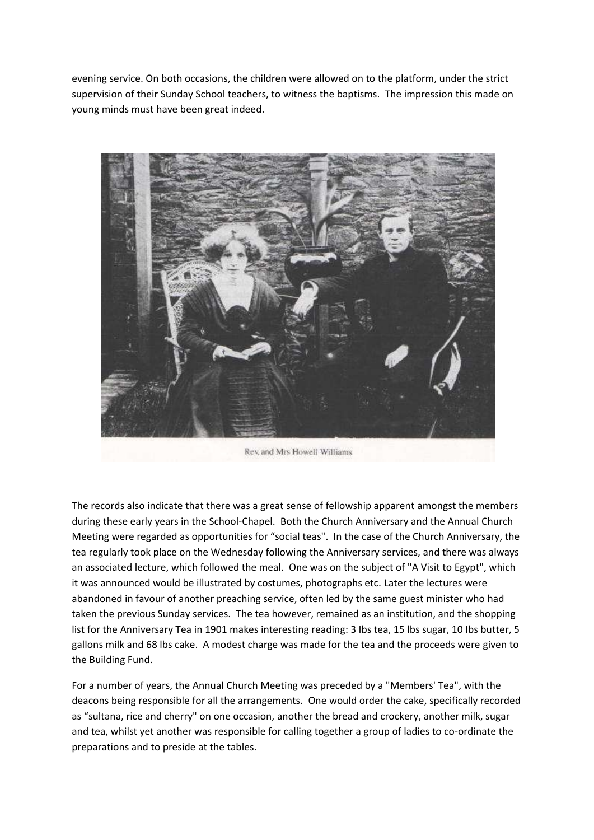evening service. On both occasions, the children were allowed on to the platform, under the strict supervision of their Sunday School teachers, to witness the baptisms. The impression this made on young minds must have been great indeed.



Rev. and Mrs Howell Williams

The records also indicate that there was a great sense of fellowship apparent amongst the members during these early years in the School-Chapel. Both the Church Anniversary and the Annual Church Meeting were regarded as opportunities for "social teas". In the case of the Church Anniversary, the tea regularly took place on the Wednesday following the Anniversary services, and there was always an associated lecture, which followed the meal. One was on the subject of "A Visit to Egypt", which it was announced would be illustrated by costumes, photographs etc. Later the lectures were abandoned in favour of another preaching service, often led by the same guest minister who had taken the previous Sunday services. The tea however, remained as an institution, and the shopping list for the Anniversary Tea in 1901 makes interesting reading: 3 Ibs tea, 15 lbs sugar, 10 Ibs butter, 5 gallons milk and 68 lbs cake. A modest charge was made for the tea and the proceeds were given to the Building Fund.

For a number of years, the Annual Church Meeting was preceded by a "Members' Tea", with the deacons being responsible for all the arrangements. One would order the cake, specifically recorded as "sultana, rice and cherry" on one occasion, another the bread and crockery, another milk, sugar and tea, whilst yet another was responsible for calling together a group of ladies to co-ordinate the preparations and to preside at the tables.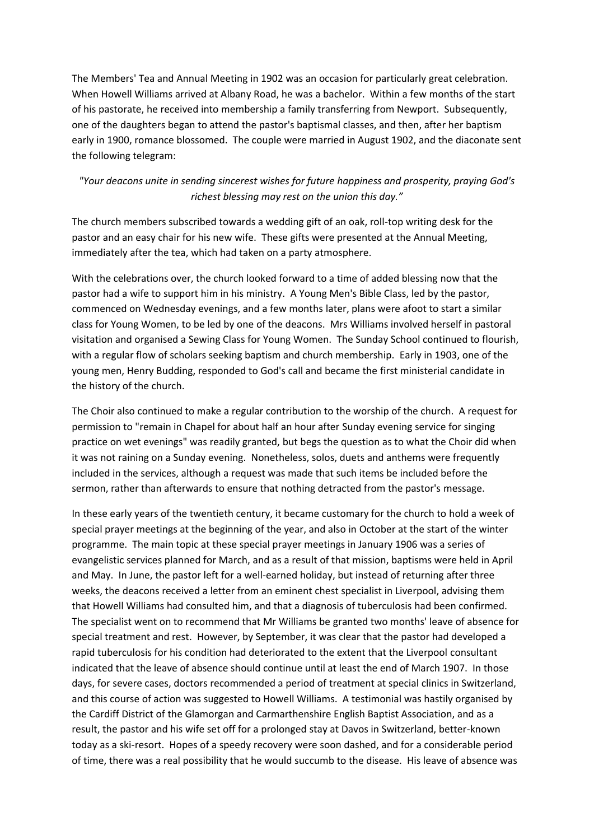The Members' Tea and Annual Meeting in 1902 was an occasion for particularly great celebration. When Howell Williams arrived at Albany Road, he was a bachelor. Within a few months of the start of his pastorate, he received into membership a family transferring from Newport. Subsequently, one of the daughters began to attend the pastor's baptismal classes, and then, after her baptism early in 1900, romance blossomed. The couple were married in August 1902, and the diaconate sent the following telegram:

#### *"Your deacons unite in sending sincerest wishes for future happiness and prosperity, praying God's richest blessing may rest on the union this day."*

The church members subscribed towards a wedding gift of an oak, roll-top writing desk for the pastor and an easy chair for his new wife. These gifts were presented at the Annual Meeting, immediately after the tea, which had taken on a party atmosphere.

With the celebrations over, the church looked forward to a time of added blessing now that the pastor had a wife to support him in his ministry. A Young Men's Bible Class, led by the pastor, commenced on Wednesday evenings, and a few months later, plans were afoot to start a similar class for Young Women, to be led by one of the deacons. Mrs Williams involved herself in pastoral visitation and organised a Sewing Class for Young Women. The Sunday School continued to flourish, with a regular flow of scholars seeking baptism and church membership. Early in 1903, one of the young men, Henry Budding, responded to God's call and became the first ministerial candidate in the history of the church.

The Choir also continued to make a regular contribution to the worship of the church. A request for permission to "remain in Chapel for about half an hour after Sunday evening service for singing practice on wet evenings" was readily granted, but begs the question as to what the Choir did when it was not raining on a Sunday evening. Nonetheless, solos, duets and anthems were frequently included in the services, although a request was made that such items be included before the sermon, rather than afterwards to ensure that nothing detracted from the pastor's message.

In these early years of the twentieth century, it became customary for the church to hold a week of special prayer meetings at the beginning of the year, and also in October at the start of the winter programme. The main topic at these special prayer meetings in January 1906 was a series of evangelistic services planned for March, and as a result of that mission, baptisms were held in April and May. In June, the pastor left for a well-earned holiday, but instead of returning after three weeks, the deacons received a letter from an eminent chest specialist in Liverpool, advising them that Howell Williams had consulted him, and that a diagnosis of tuberculosis had been confirmed. The specialist went on to recommend that Mr Williams be granted two months' leave of absence for special treatment and rest. However, by September, it was clear that the pastor had developed a rapid tuberculosis for his condition had deteriorated to the extent that the Liverpool consultant indicated that the leave of absence should continue until at least the end of March 1907. In those days, for severe cases, doctors recommended a period of treatment at special clinics in Switzerland, and this course of action was suggested to Howell Williams. A testimonial was hastily organised by the Cardiff District of the Glamorgan and Carmarthenshire English Baptist Association, and as a result, the pastor and his wife set off for a prolonged stay at Davos in Switzerland, better-known today as a ski-resort. Hopes of a speedy recovery were soon dashed, and for a considerable period of time, there was a real possibility that he would succumb to the disease. His leave of absence was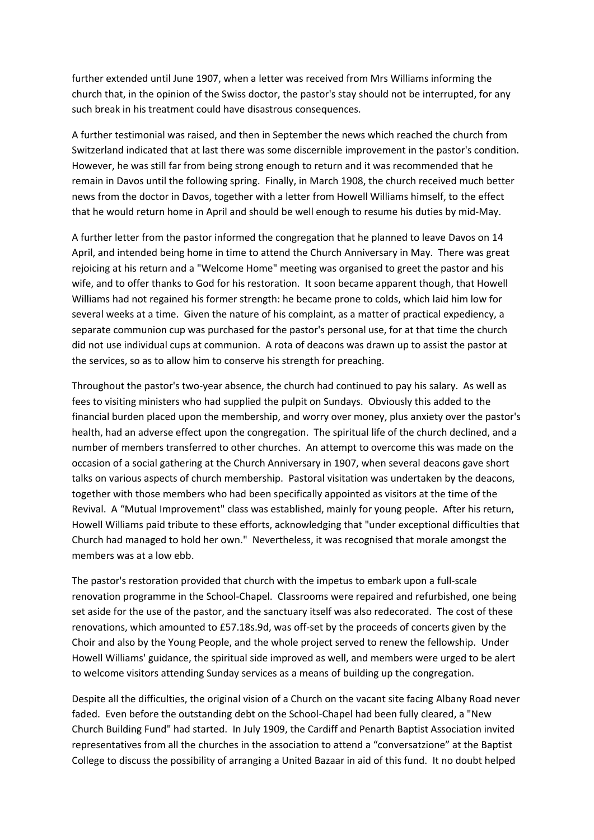further extended until June 1907, when a letter was received from Mrs Williams informing the church that, in the opinion of the Swiss doctor, the pastor's stay should not be interrupted, for any such break in his treatment could have disastrous consequences.

A further testimonial was raised, and then in September the news which reached the church from Switzerland indicated that at last there was some discernible improvement in the pastor's condition. However, he was still far from being strong enough to return and it was recommended that he remain in Davos until the following spring. Finally, in March 1908, the church received much better news from the doctor in Davos, together with a letter from Howell Williams himself, to the effect that he would return home in April and should be well enough to resume his duties by mid-May.

A further letter from the pastor informed the congregation that he planned to leave Davos on 14 April, and intended being home in time to attend the Church Anniversary in May. There was great rejoicing at his return and a "Welcome Home" meeting was organised to greet the pastor and his wife, and to offer thanks to God for his restoration. It soon became apparent though, that Howell Williams had not regained his former strength: he became prone to colds, which laid him low for several weeks at a time. Given the nature of his complaint, as a matter of practical expediency, a separate communion cup was purchased for the pastor's personal use, for at that time the church did not use individual cups at communion. A rota of deacons was drawn up to assist the pastor at the services, so as to allow him to conserve his strength for preaching.

Throughout the pastor's two-year absence, the church had continued to pay his salary. As well as fees to visiting ministers who had supplied the pulpit on Sundays. Obviously this added to the financial burden placed upon the membership, and worry over money, plus anxiety over the pastor's health, had an adverse effect upon the congregation. The spiritual life of the church declined, and a number of members transferred to other churches. An attempt to overcome this was made on the occasion of a social gathering at the Church Anniversary in 1907, when several deacons gave short talks on various aspects of church membership. Pastoral visitation was undertaken by the deacons, together with those members who had been specifically appointed as visitors at the time of the Revival. A "Mutual Improvement" class was established, mainly for young people. After his return, Howell Williams paid tribute to these efforts, acknowledging that "under exceptional difficulties that Church had managed to hold her own." Nevertheless, it was recognised that morale amongst the members was at a low ebb.

The pastor's restoration provided that church with the impetus to embark upon a full-scale renovation programme in the School-Chapel. Classrooms were repaired and refurbished, one being set aside for the use of the pastor, and the sanctuary itself was also redecorated. The cost of these renovations, which amounted to £57.18s.9d, was off-set by the proceeds of concerts given by the Choir and also by the Young People, and the whole project served to renew the fellowship. Under Howell Williams' guidance, the spiritual side improved as well, and members were urged to be alert to welcome visitors attending Sunday services as a means of building up the congregation.

Despite all the difficulties, the original vision of a Church on the vacant site facing Albany Road never faded. Even before the outstanding debt on the School-Chapel had been fully cleared, a "New Church Building Fund" had started. In July 1909, the Cardiff and Penarth Baptist Association invited representatives from all the churches in the association to attend a "conversatzione" at the Baptist College to discuss the possibility of arranging a United Bazaar in aid of this fund. It no doubt helped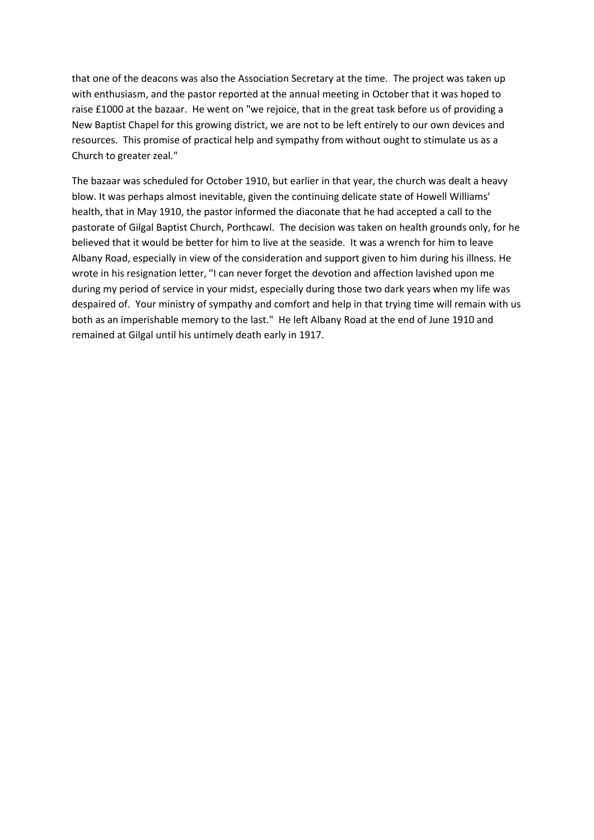that one of the deacons was also the Association Secretary at the time. The project was taken up with enthusiasm, and the pastor reported at the annual meeting in October that it was hoped to raise £1000 at the bazaar. He went on "we rejoice, that in the great task before us of providing a New Baptist Chapel for this growing district, we are not to be left entirely to our own devices and resources. This promise of practical help and sympathy from without ought to stimulate us as a Church to greater zeal."

The bazaar was scheduled for October 1910, but earlier in that year, the church was dealt a heavy blow. It was perhaps almost inevitable, given the continuing delicate state of Howell Williams' health, that in May 1910, the pastor informed the diaconate that he had accepted a call to the pastorate of Gilgal Baptist Church, Porthcawl. The decision was taken on health grounds only, for he believed that it would be better for him to live at the seaside. It was a wrench for him to leave Albany Road, especially in view of the consideration and support given to him during his illness. He wrote in his resignation letter, "I can never forget the devotion and affection lavished upon me during my period of service in your midst, especially during those two dark years when my life was despaired of. Your ministry of sympathy and comfort and help in that trying time will remain with us both as an imperishable memory to the last." He left Albany Road at the end of June 1910 and remained at Gilgal until his untimely death early in 1917.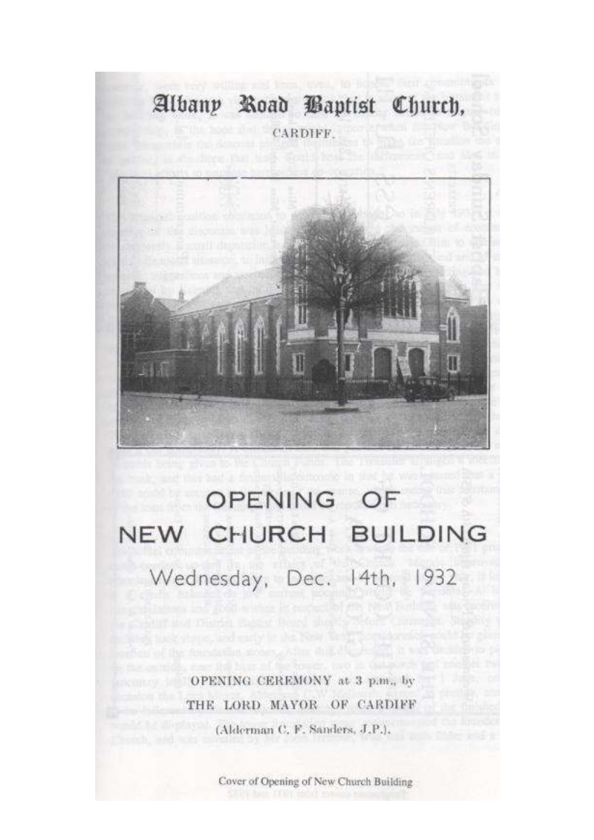## Albany Road Baptist Church,

CARDIFF.



# OPENING OF NEW CHURCH BUILDING Wednesday, Dec. 14th, 1932

OPENING CEREMONY at 3 p.m., by THE LORD MAYOR OF CARDIFF (Alderman C, F, Sanders, J.P.).

Cover of Opening of New Church Building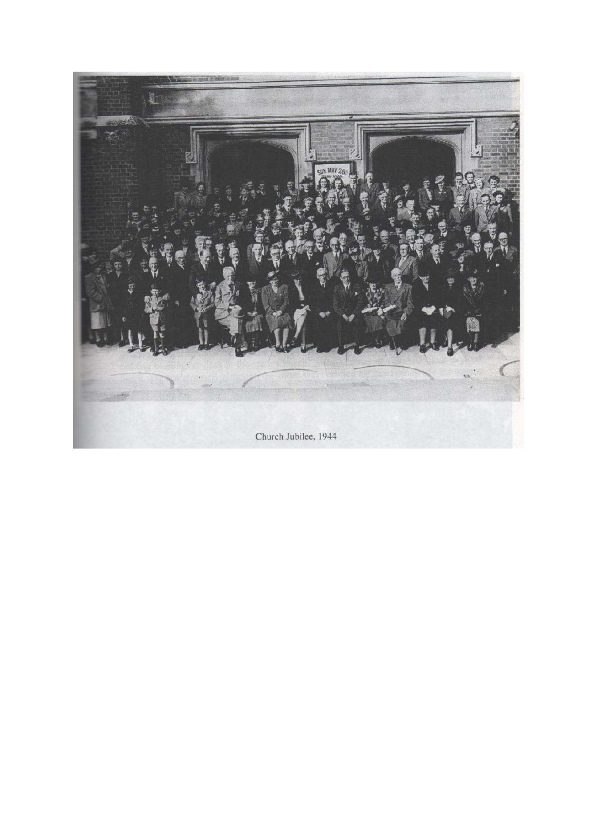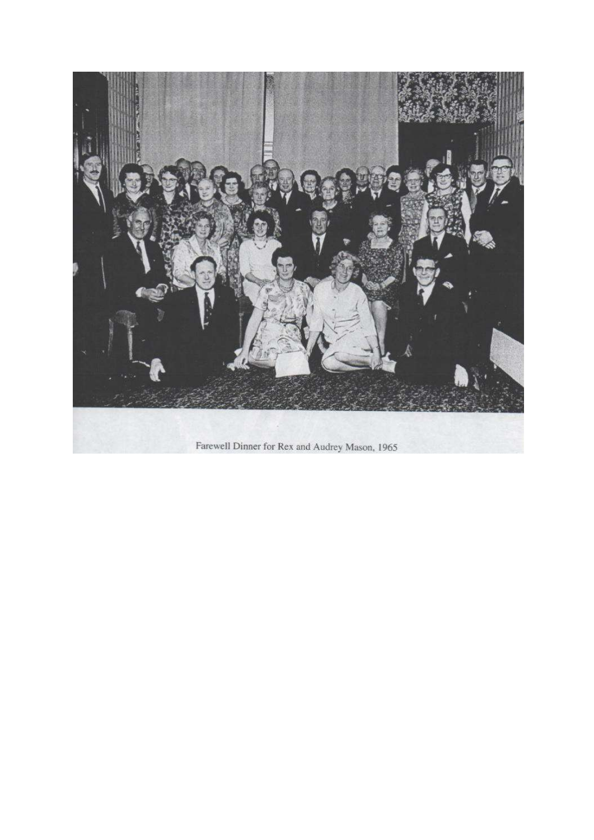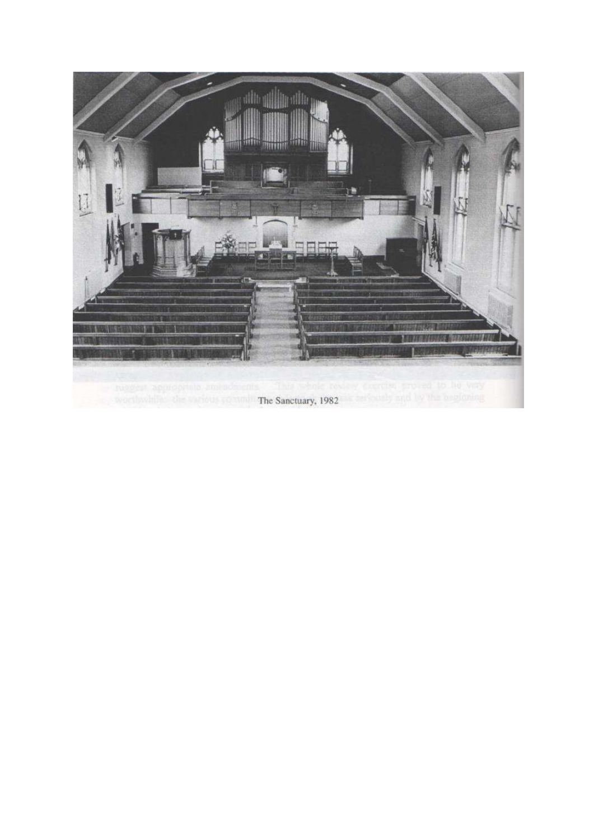